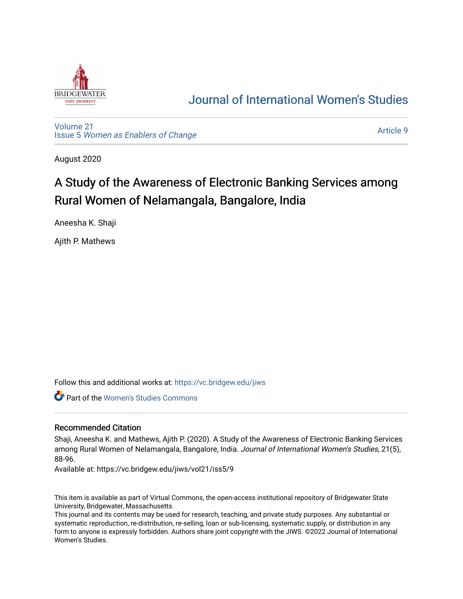

## [Journal of International Women's Studies](https://vc.bridgew.edu/jiws)

[Volume 21](https://vc.bridgew.edu/jiws/vol21) Issue 5 [Women as Enablers of Change](https://vc.bridgew.edu/jiws/vol21/iss5) 

[Article 9](https://vc.bridgew.edu/jiws/vol21/iss5/9) 

August 2020

# A Study of the Awareness of Electronic Banking Services among Rural Women of Nelamangala, Bangalore, India

Aneesha K. Shaji

Ajith P. Mathews

Follow this and additional works at: [https://vc.bridgew.edu/jiws](https://vc.bridgew.edu/jiws?utm_source=vc.bridgew.edu%2Fjiws%2Fvol21%2Fiss5%2F9&utm_medium=PDF&utm_campaign=PDFCoverPages)

**Part of the Women's Studies Commons** 

## Recommended Citation

Shaji, Aneesha K. and Mathews, Ajith P. (2020). A Study of the Awareness of Electronic Banking Services among Rural Women of Nelamangala, Bangalore, India. Journal of International Women's Studies, 21(5), 88-96.

Available at: https://vc.bridgew.edu/jiws/vol21/iss5/9

This item is available as part of Virtual Commons, the open-access institutional repository of Bridgewater State University, Bridgewater, Massachusetts.

This journal and its contents may be used for research, teaching, and private study purposes. Any substantial or systematic reproduction, re-distribution, re-selling, loan or sub-licensing, systematic supply, or distribution in any form to anyone is expressly forbidden. Authors share joint copyright with the JIWS. ©2022 Journal of International Women's Studies.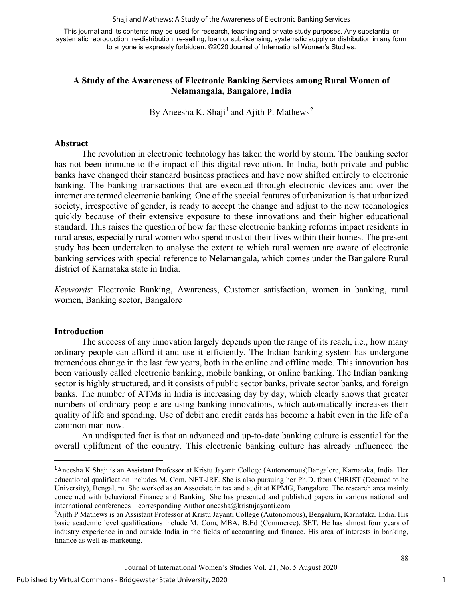Shaji and Mathews: A Study of the Awareness of Electronic Banking Services

This journal and its contents may be used for research, teaching and private study purposes. Any substantial or systematic reproduction, re-distribution, re-selling, loan or sub-licensing, systematic supply or distribution in any form to anyone is expressly forbidden. ©2020 Journal of International Women's Studies.

## **A Study of the Awareness of Electronic Banking Services among Rural Women of Nelamangala, Bangalore, India**

By Aneesha K. Shaji<sup>[1](#page-1-0)</sup> and Ajith P. Mathews<sup>[2](#page-1-1)</sup>

#### **Abstract**

The revolution in electronic technology has taken the world by storm. The banking sector has not been immune to the impact of this digital revolution. In India, both private and public banks have changed their standard business practices and have now shifted entirely to electronic banking. The banking transactions that are executed through electronic devices and over the internet are termed electronic banking. One of the special features of urbanization is that urbanized society, irrespective of gender, is ready to accept the change and adjust to the new technologies quickly because of their extensive exposure to these innovations and their higher educational standard. This raises the question of how far these electronic banking reforms impact residents in rural areas, especially rural women who spend most of their lives within their homes. The present study has been undertaken to analyse the extent to which rural women are aware of electronic banking services with special reference to Nelamangala, which comes under the Bangalore Rural district of Karnataka state in India.

*Keywords*: Electronic Banking, Awareness, Customer satisfaction, women in banking, rural women, Banking sector, Bangalore

## **Introduction**

The success of any innovation largely depends upon the range of its reach, i.e., how many ordinary people can afford it and use it efficiently. The Indian banking system has undergone tremendous change in the last few years, both in the online and offline mode. This innovation has been variously called electronic banking, mobile banking, or online banking. The Indian banking sector is highly structured, and it consists of public sector banks, private sector banks, and foreign banks. The number of ATMs in India is increasing day by day, which clearly shows that greater numbers of ordinary people are using banking innovations, which automatically increases their quality of life and spending. Use of debit and credit cards has become a habit even in the life of a common man now.

An undisputed fact is that an advanced and up-to-date banking culture is essential for the overall upliftment of the country. This electronic banking culture has already influenced the

<span id="page-1-0"></span><sup>&</sup>lt;sup>1</sup>Aneesha K Shaji is an Assistant Professor at Kristu Jayanti College (Autonomous)Bangalore, Karnataka, India. Her educational qualification includes M. Com, NET-JRF. She is also pursuing her Ph.D. from CHRIST (Deemed to be University), Bengaluru. She worked as an Associate in tax and audit at KPMG, Bangalore. The research area mainly concerned with behavioral Finance and Banking. She has presented and published papers in various national and international conferences—corresponding Author [aneesha@kristujayanti.com](mailto:aneesha@kristujayanti.com)

<span id="page-1-1"></span><sup>2</sup> Ajith P Mathews is an Assistant Professor at Kristu Jayanti College (Autonomous), Bengaluru, Karnataka, India. His basic academic level qualifications include M. Com, MBA, B.Ed (Commerce), SET. He has almost four years of industry experience in and outside India in the fields of accounting and finance. His area of interests in banking, finance as well as marketing.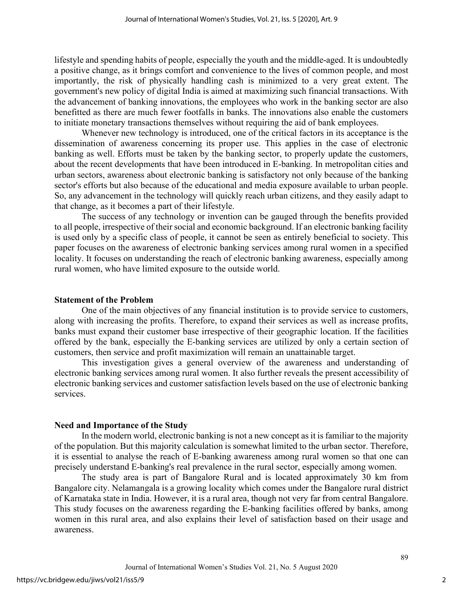lifestyle and spending habits of people, especially the youth and the middle-aged. It is undoubtedly a positive change, as it brings comfort and convenience to the lives of common people, and most importantly, the risk of physically handling cash is minimized to a very great extent. The government's new policy of digital India is aimed at maximizing such financial transactions. With the advancement of banking innovations, the employees who work in the banking sector are also benefitted as there are much fewer footfalls in banks. The innovations also enable the customers to initiate monetary transactions themselves without requiring the aid of bank employees.

Whenever new technology is introduced, one of the critical factors in its acceptance is the dissemination of awareness concerning its proper use. This applies in the case of electronic banking as well. Efforts must be taken by the banking sector, to properly update the customers, about the recent developments that have been introduced in E-banking. In metropolitan cities and urban sectors, awareness about electronic banking is satisfactory not only because of the banking sector's efforts but also because of the educational and media exposure available to urban people. So, any advancement in the technology will quickly reach urban citizens, and they easily adapt to that change, as it becomes a part of their lifestyle.

The success of any technology or invention can be gauged through the benefits provided to all people, irrespective of their social and economic background. If an electronic banking facility is used only by a specific class of people, it cannot be seen as entirely beneficial to society. This paper focuses on the awareness of electronic banking services among rural women in a specified locality. It focuses on understanding the reach of electronic banking awareness, especially among rural women, who have limited exposure to the outside world.

#### **Statement of the Problem**

One of the main objectives of any financial institution is to provide service to customers, along with increasing the profits. Therefore, to expand their services as well as increase profits, banks must expand their customer base irrespective of their geographic. location. If the facilities offered by the bank, especially the E-banking services are utilized by only a certain section of customers, then service and profit maximization will remain an unattainable target.

This investigation gives a general overview of the awareness and understanding of electronic banking services among rural women. It also further reveals the present accessibility of electronic banking services and customer satisfaction levels based on the use of electronic banking services.

#### **Need and Importance of the Study**

In the modern world, electronic banking is not a new concept as it is familiar to the majority of the population. But this majority calculation is somewhat limited to the urban sector. Therefore, it is essential to analyse the reach of E-banking awareness among rural women so that one can precisely understand E-banking's real prevalence in the rural sector, especially among women.

The study area is part of Bangalore Rural and is located approximately 30 km from Bangalore city. Nelamangala is a growing locality which comes under the Bangalore rural district of Karnataka state in India. However, it is a rural area, though not very far from central Bangalore. This study focuses on the awareness regarding the E-banking facilities offered by banks, among women in this rural area, and also explains their level of satisfaction based on their usage and awareness.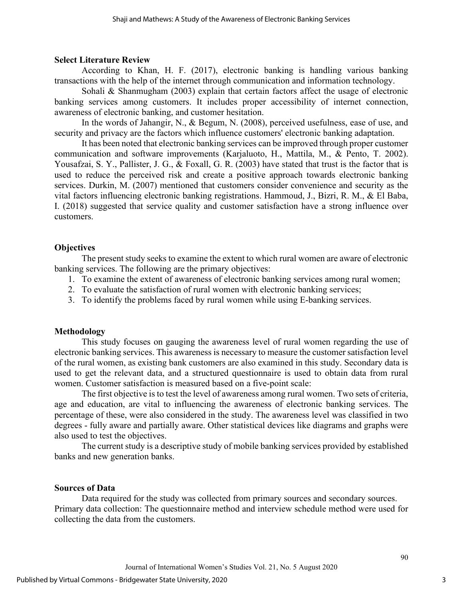## **Select Literature Review**

According to Khan, H. F. (2017), electronic banking is handling various banking transactions with the help of the internet through communication and information technology.

Sohali & Shanmugham (2003) explain that certain factors affect the usage of electronic banking services among customers. It includes proper accessibility of internet connection, awareness of electronic banking, and customer hesitation.

In the words of Jahangir, N., & Begum, N. (2008), perceived usefulness, ease of use, and security and privacy are the factors which influence customers' electronic banking adaptation.

It has been noted that electronic banking services can be improved through proper customer communication and software improvements (Karjaluoto, H., Mattila, M., & Pento, T. 2002). Yousafzai, S. Y., Pallister, J. G., & Foxall, G. R. (2003) have stated that trust is the factor that is used to reduce the perceived risk and create a positive approach towards electronic banking services. Durkin, M. (2007) mentioned that customers consider convenience and security as the vital factors influencing electronic banking registrations. Hammoud, J., Bizri, R. M., & El Baba, I. (2018) suggested that service quality and customer satisfaction have a strong influence over customers.

## **Objectives**

The present study seeks to examine the extent to which rural women are aware of electronic banking services. The following are the primary objectives:

- 1. To examine the extent of awareness of electronic banking services among rural women;
- 2. To evaluate the satisfaction of rural women with electronic banking services;
- 3. To identify the problems faced by rural women while using E-banking services.

## **Methodology**

This study focuses on gauging the awareness level of rural women regarding the use of electronic banking services. This awareness is necessary to measure the customer satisfaction level of the rural women, as existing bank customers are also examined in this study. Secondary data is used to get the relevant data, and a structured questionnaire is used to obtain data from rural women. Customer satisfaction is measured based on a five-point scale:

The first objective is to test the level of awareness among rural women. Two sets of criteria, age and education, are vital to influencing the awareness of electronic banking services. The percentage of these, were also considered in the study. The awareness level was classified in two degrees - fully aware and partially aware. Other statistical devices like diagrams and graphs were also used to test the objectives.

The current study is a descriptive study of mobile banking services provided by established banks and new generation banks.

## **Sources of Data**

Data required for the study was collected from primary sources and secondary sources. Primary data collection: The questionnaire method and interview schedule method were used for collecting the data from the customers.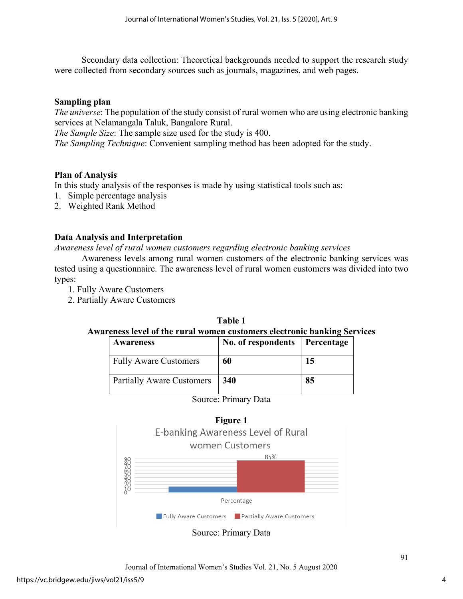Secondary data collection: Theoretical backgrounds needed to support the research study were collected from secondary sources such as journals, magazines, and web pages.

## **Sampling plan**

*The universe*: The population of the study consist of rural women who are using electronic banking services at Nelamangala Taluk, Bangalore Rural.

*The Sample Size*: The sample size used for the study is 400.

*The Sampling Technique*: Convenient sampling method has been adopted for the study.

## **Plan of Analysis**

In this study analysis of the responses is made by using statistical tools such as:

- 1. Simple percentage analysis
- 2. Weighted Rank Method

## **Data Analysis and Interpretation**

*Awareness level of rural women customers regarding electronic banking services* 

Awareness levels among rural women customers of the electronic banking services was tested using a questionnaire. The awareness level of rural women customers was divided into two types:

- 1. Fully Aware Customers
- 2. Partially Aware Customers

## **Table 1 Awareness level of the rural women customers electronic banking Services**

| Awareness                        | No. of respondents | Percentage |
|----------------------------------|--------------------|------------|
| <b>Fully Aware Customers</b>     | 60                 | 15         |
| <b>Partially Aware Customers</b> | 340                | 85         |





**Figure 1**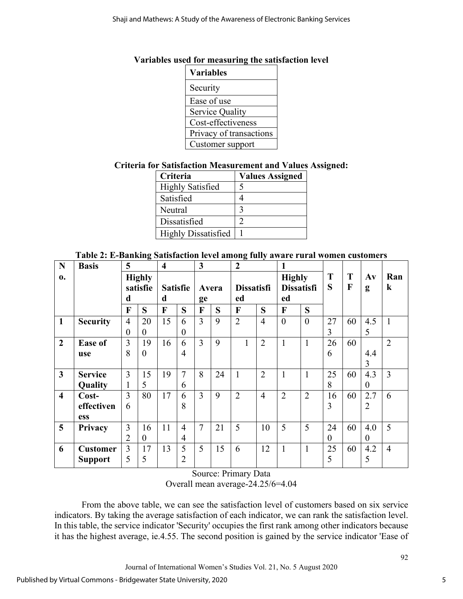## **Variables used for measuring the satisfaction level**

| <b>Variables</b>        |
|-------------------------|
| Security                |
| Ease of use             |
| <b>Service Quality</b>  |
| Cost-effectiveness      |
| Privacy of transactions |
| Customer support        |

## **Criteria for Satisfaction Measurement and Values Assigned:**

| Criteria                   | <b>Values Assigned</b> |
|----------------------------|------------------------|
| <b>Highly Satisfied</b>    |                        |
| Satisfied                  |                        |
| Neutral                    |                        |
| Dissatisfied               |                        |
| <b>Highly Dissatisfied</b> |                        |

## **Table 2: E-Banking Satisfaction level among fully aware rural women customers**

| N                       | <b>Basis</b>    | 5                              |          | $\overline{\bf{4}}$  |                | 3              |    | $\boldsymbol{2}$        |                | 1                                        |                |          |        |                    |                |
|-------------------------|-----------------|--------------------------------|----------|----------------------|----------------|----------------|----|-------------------------|----------------|------------------------------------------|----------------|----------|--------|--------------------|----------------|
| 0.                      |                 | <b>Highly</b><br>satisfie<br>d |          | <b>Satisfie</b><br>d |                | Avera<br>ge    |    | <b>Dissatisfi</b><br>ed |                | <b>Highly</b><br><b>Dissatisfi</b><br>ed |                | T<br>S   | T<br>F | $A\mathbf{v}$<br>g | Ran<br>$\bf k$ |
|                         |                 | $\mathbf F$                    | S        | F                    | S              | F              | S  | F                       | S              | F                                        | S              |          |        |                    |                |
| $\mathbf{1}$            | <b>Security</b> | $\overline{4}$                 | 20       | 15                   | 6              | $\overline{3}$ | 9  | $\overline{2}$          | $\overline{4}$ | $\overline{0}$                           | $\overline{0}$ | 27       | 60     | 4.5                | $\mathbf{1}$   |
|                         |                 | $\overline{0}$                 | 0        |                      | $\theta$       |                |    |                         |                |                                          |                | 3        |        | 5                  |                |
| $\overline{2}$          | <b>Ease of</b>  | 3                              | 19       | 16                   | 6              | 3              | 9  | $\mathbf{1}$            | $\overline{2}$ | $\mathbf{1}$                             | $\mathbf{1}$   | 26       | 60     |                    | $\overline{2}$ |
|                         | use             | 8                              | $\theta$ |                      | $\overline{4}$ |                |    |                         |                |                                          |                | 6        |        | 4.4                |                |
|                         |                 |                                |          |                      |                |                |    |                         |                |                                          |                |          |        | 3                  |                |
| $\overline{\mathbf{3}}$ | <b>Service</b>  | 3                              | 15       | 19                   | 7              | 8              | 24 | 1                       | $\overline{2}$ | $\mathbf{1}$                             | $\mathbf{1}$   | 25       | 60     | 4.3                | $\overline{3}$ |
|                         | Quality         |                                | 5        |                      | 6              |                |    |                         |                |                                          |                | 8        |        | $\theta$           |                |
| $\overline{\mathbf{4}}$ | Cost-           | $\overline{3}$                 | 80       | 17                   | 6              | 3              | 9  | $\overline{2}$          | $\overline{4}$ | $\overline{2}$                           | $\overline{2}$ | 16       | 60     | 2.7                | 6              |
|                         | effectiven      | 6                              |          |                      | 8              |                |    |                         |                |                                          |                | 3        |        | $\overline{2}$     |                |
|                         | <b>ess</b>      |                                |          |                      |                |                |    |                         |                |                                          |                |          |        |                    |                |
| 5                       | Privacy         | 3                              | 16       | 11                   | $\overline{4}$ | 7              | 21 | 5                       | 10             | 5                                        | 5              | 24       | 60     | 4.0                | 5              |
|                         |                 | $\overline{2}$                 | $\theta$ |                      | 4              |                |    |                         |                |                                          |                | $\theta$ |        | $\boldsymbol{0}$   |                |
| 6                       | <b>Customer</b> | $\overline{3}$                 | 17       | 13                   | 5              | 5              | 15 | 6                       | 12             | $\mathbf{1}$                             | $\mathbf{1}$   | 25       | 60     | 4.2                | $\overline{4}$ |
|                         | <b>Support</b>  | 5                              | 5        |                      | $\overline{2}$ |                |    |                         |                |                                          |                | 5        |        | 5                  |                |

Source: Primary Data

Overall mean average-24.25/6=4.04

From the above table, we can see the satisfaction level of customers based on six service indicators. By taking the average satisfaction of each indicator, we can rank the satisfaction level. In this table, the service indicator 'Security' occupies the first rank among other indicators because it has the highest average, ie.4.55. The second position is gained by the service indicator 'Ease of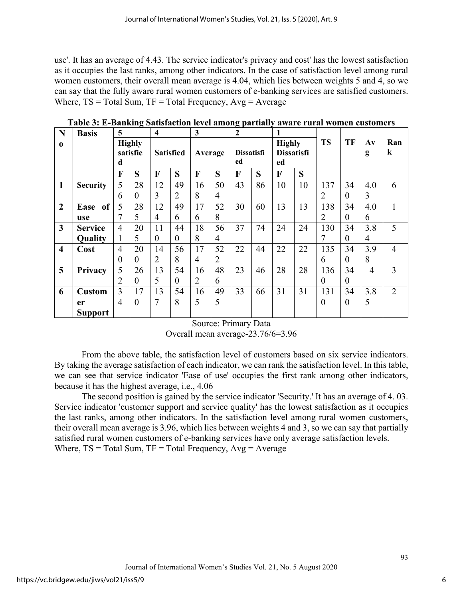use'. It has an average of 4.43. The service indicator's privacy and cost' has the lowest satisfaction as it occupies the last ranks, among other indicators. In the case of satisfaction level among rural women customers, their overall mean average is 4.04, which lies between weights 5 and 4, so we can say that the fully aware rural women customers of e-banking services are satisfied customers. Where,  $TS = Total Sum$ ,  $TF = Total Frequency$ ,  $Avg = Average$ 

| N                       | <b>Basis</b>                 | 5                              |          | $\overline{\mathbf{4}}$ |                | 3              |                | $\boldsymbol{2}$        |    |                                          |    |                |                  |                    |                |
|-------------------------|------------------------------|--------------------------------|----------|-------------------------|----------------|----------------|----------------|-------------------------|----|------------------------------------------|----|----------------|------------------|--------------------|----------------|
| $\bf{0}$                |                              | <b>Highly</b><br>satisfie<br>d |          | <b>Satisfied</b>        |                | Average        |                | <b>Dissatisfi</b><br>ed |    | <b>Highly</b><br><b>Dissatisfi</b><br>ed |    | <b>TS</b>      | TF               | $A\mathbf{v}$<br>g | Ran<br>$\bf k$ |
|                         |                              | F                              | S        | $\mathbf{F}$            | S              | F              | S              | F                       | S  | F                                        | S  |                |                  |                    |                |
| $\mathbf{1}$            | <b>Security</b>              | 5                              | 28       | 12                      | 49             | 16             | 50             | 43                      | 86 | 10                                       | 10 | 137            | 34               | 4.0                | 6              |
|                         |                              | 6                              | $\theta$ | 3                       | $\overline{2}$ | 8              | 4              |                         |    |                                          |    | $\overline{2}$ | $\theta$         | 3                  |                |
| $\overline{2}$          | <sub>of</sub><br><b>Ease</b> | 5                              | 28       | 12                      | 49             | 17             | 52             | 30                      | 60 | 13                                       | 13 | 138            | 34               | 4.0                | $\mathbf{1}$   |
|                         | use                          | 7                              | 5        | 4                       | 6              | 6              | 8              |                         |    |                                          |    | $\overline{2}$ | $\theta$         | 6                  |                |
| $\overline{\mathbf{3}}$ | <b>Service</b>               | $\overline{4}$                 | 20       | 11                      | 44             | 18             | 56             | 37                      | 74 | 24                                       | 24 | 130            | 34               | 3.8                | 5              |
|                         | Quality                      | $\mathbf{I}$                   | 5        | $\theta$                | $\overline{0}$ | 8              | 4              |                         |    |                                          |    | 7              | $\overline{0}$   | 4                  |                |
| $\overline{\mathbf{4}}$ | Cost                         | $\overline{4}$                 | 20       | 14                      | 56             | 17             | 52             | 22                      | 44 | 22                                       | 22 | 135            | 34               | 3.9                | $\overline{4}$ |
|                         |                              | $\theta$                       | $\theta$ | $\overline{2}$          | 8              | $\overline{4}$ | $\overline{2}$ |                         |    |                                          |    | 6              | $\theta$         | 8                  |                |
| 5                       | Privacy                      | 5                              | 26       | 13                      | 54             | 16             | 48             | 23                      | 46 | 28                                       | 28 | 136            | 34               | $\overline{4}$     | $\overline{3}$ |
|                         |                              | 2                              | $\theta$ | 5                       | $\overline{0}$ | 2              | 6              |                         |    |                                          |    | $\theta$       | $\boldsymbol{0}$ |                    |                |
| 6                       | <b>Custom</b>                | 3                              | 17       | 13                      | 54             | 16             | 49             | 33                      | 66 | 31                                       | 31 | 131            | 34               | 3.8                | 2              |
|                         | er                           | $\overline{4}$                 | $\theta$ | 7                       | 8              | 5              | 5              |                         |    |                                          |    | $\theta$       | $\overline{0}$   | 5                  |                |
|                         | <b>Support</b>               |                                |          |                         |                |                |                |                         |    |                                          |    |                |                  |                    |                |

**Table 3: E-Banking Satisfaction level among partially aware rural women customers**

Source: Primary Data

Overall mean average-23.76/6=3.96

From the above table, the satisfaction level of customers based on six service indicators. By taking the average satisfaction of each indicator, we can rank the satisfaction level. In this table, we can see that service indicator 'Ease of use' occupies the first rank among other indicators, because it has the highest average, i.e., 4.06

The second position is gained by the service indicator 'Security.' It has an average of 4. 03. Service indicator 'customer support and service quality' has the lowest satisfaction as it occupies the last ranks, among other indicators. In the satisfaction level among rural women customers, their overall mean average is 3.96, which lies between weights 4 and 3, so we can say that partially satisfied rural women customers of e-banking services have only average satisfaction levels. Where,  $TS = Total Sum$ ,  $TF = Total Frequency$ ,  $Avg = Average$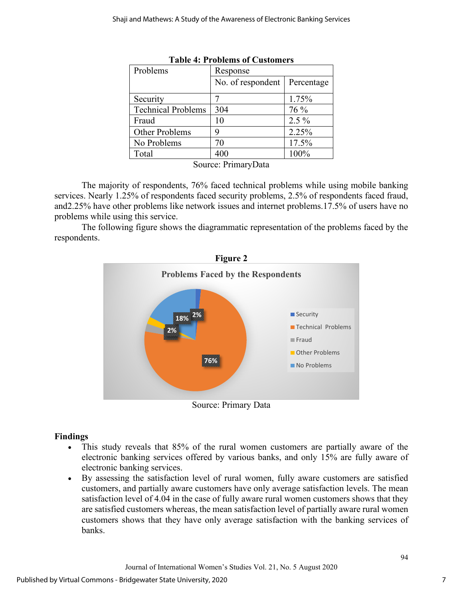| Problems                  | Response          |            |  |  |  |  |
|---------------------------|-------------------|------------|--|--|--|--|
|                           | No. of respondent | Percentage |  |  |  |  |
| Security                  |                   | 1.75%      |  |  |  |  |
| <b>Technical Problems</b> | 304               | 76 %       |  |  |  |  |
| Fraud                     | 10                | $2.5\%$    |  |  |  |  |
| Other Problems            | 9                 | 2.25%      |  |  |  |  |
| No Problems               | 70                | 17.5%      |  |  |  |  |
| Total                     | 400               | 100%       |  |  |  |  |

|  | <b>Table 4: Problems of Customers</b> |
|--|---------------------------------------|
|--|---------------------------------------|

Source: PrimaryData

The majority of respondents, 76% faced technical problems while using mobile banking services. Nearly 1.25% of respondents faced security problems, 2.5% of respondents faced fraud, and2.25% have other problems like network issues and internet problems.17.5% of users have no problems while using this service.

The following figure shows the diagrammatic representation of the problems faced by the respondents.



Source: Primary Data

## **Findings**

- This study reveals that 85% of the rural women customers are partially aware of the electronic banking services offered by various banks, and only 15% are fully aware of electronic banking services.
- By assessing the satisfaction level of rural women, fully aware customers are satisfied customers, and partially aware customers have only average satisfaction levels. The mean satisfaction level of 4.04 in the case of fully aware rural women customers shows that they are satisfied customers whereas, the mean satisfaction level of partially aware rural women customers shows that they have only average satisfaction with the banking services of banks.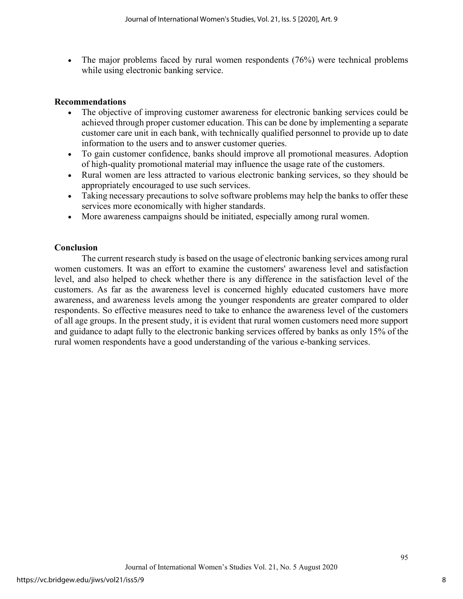• The major problems faced by rural women respondents (76%) were technical problems while using electronic banking service.

## **Recommendations**

- The objective of improving customer awareness for electronic banking services could be achieved through proper customer education. This can be done by implementing a separate customer care unit in each bank, with technically qualified personnel to provide up to date information to the users and to answer customer queries.
- To gain customer confidence, banks should improve all promotional measures. Adoption of high-quality promotional material may influence the usage rate of the customers.
- Rural women are less attracted to various electronic banking services, so they should be appropriately encouraged to use such services.
- Taking necessary precautions to solve software problems may help the banks to offer these services more economically with higher standards.
- More awareness campaigns should be initiated, especially among rural women.

## **Conclusion**

The current research study is based on the usage of electronic banking services among rural women customers. It was an effort to examine the customers' awareness level and satisfaction level, and also helped to check whether there is any difference in the satisfaction level of the customers. As far as the awareness level is concerned highly educated customers have more awareness, and awareness levels among the younger respondents are greater compared to older respondents. So effective measures need to take to enhance the awareness level of the customers of all age groups. In the present study, it is evident that rural women customers need more support and guidance to adapt fully to the electronic banking services offered by banks as only 15% of the rural women respondents have a good understanding of the various e-banking services.